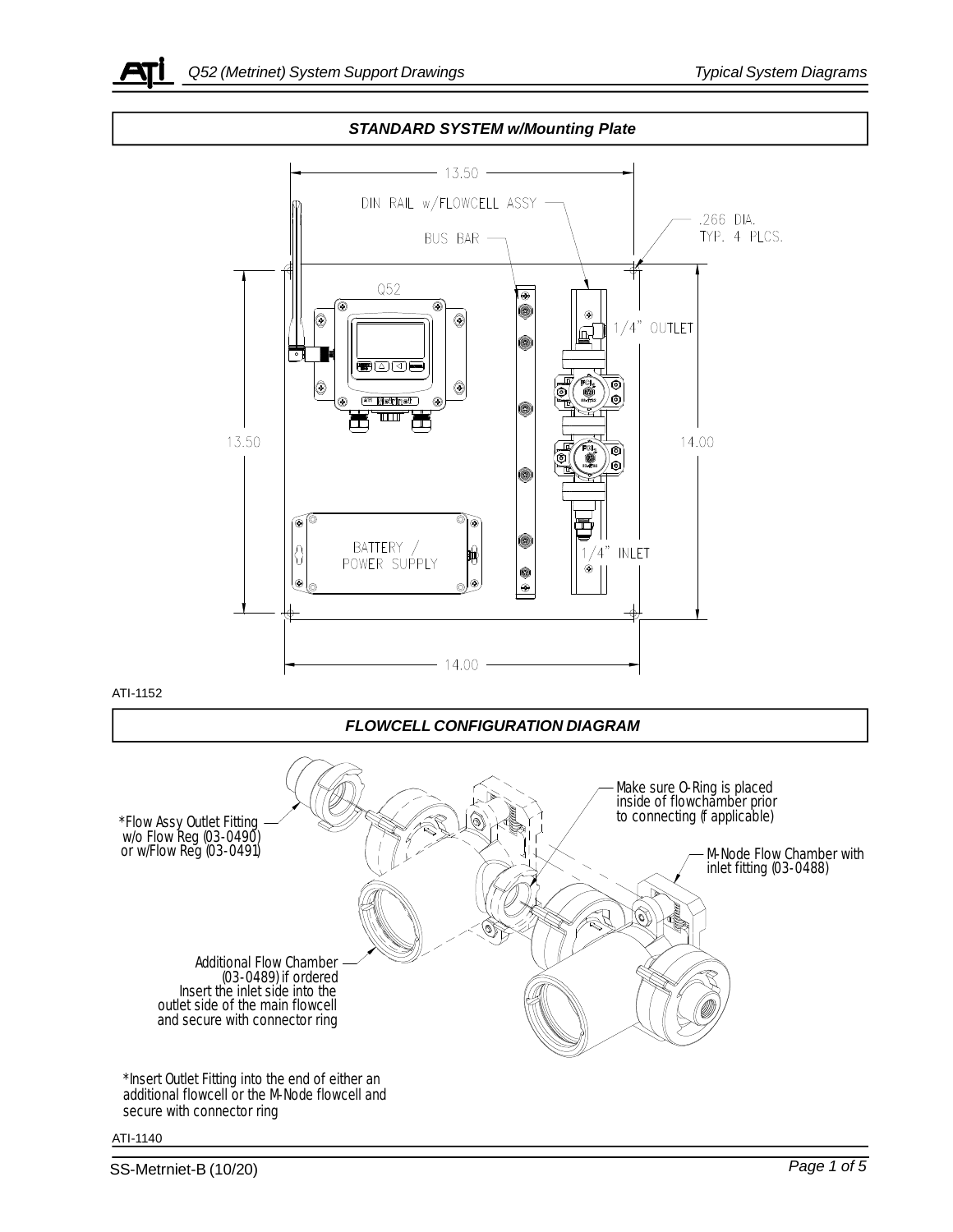



## ATI-1140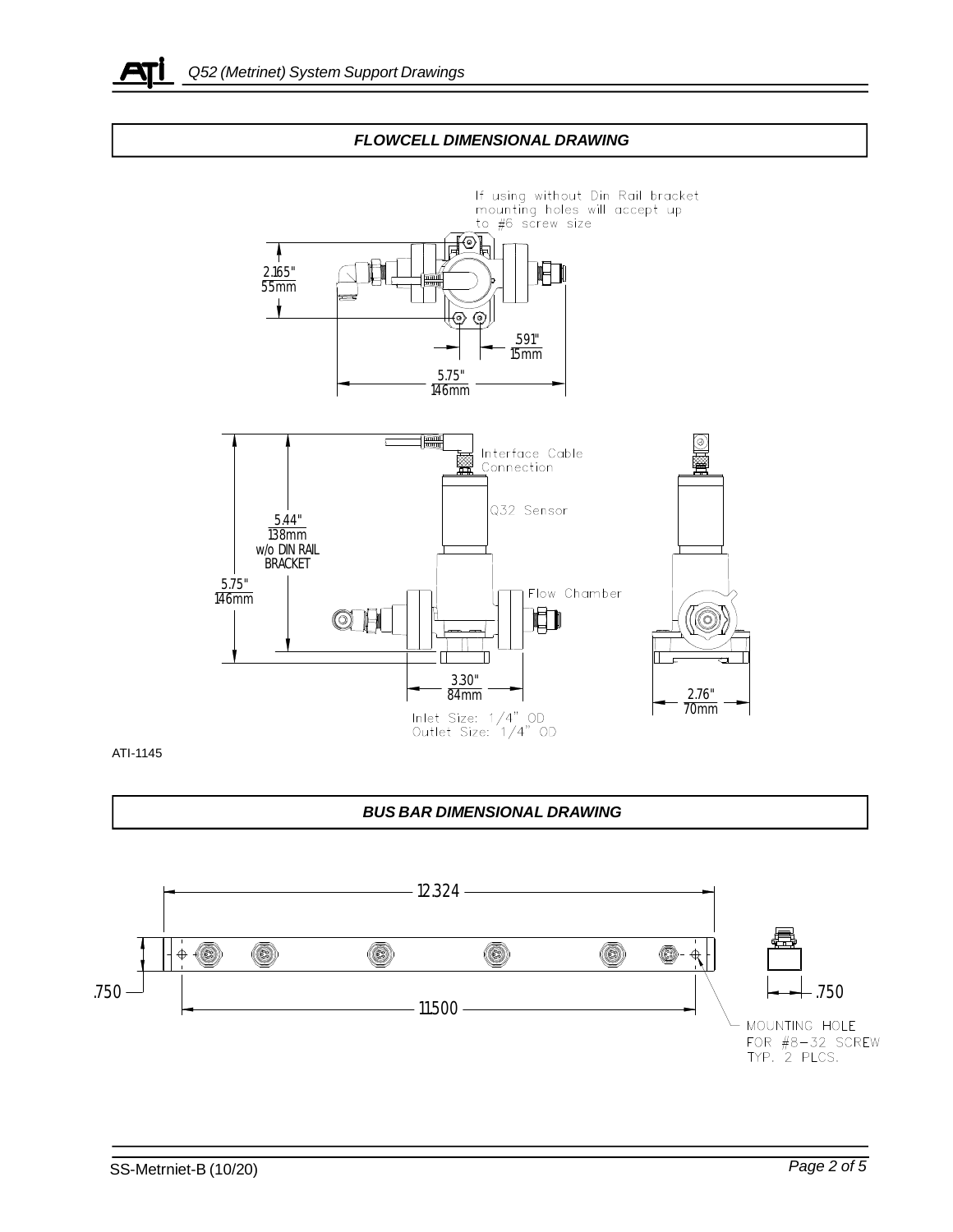





ATI-1145

## *BUS BAR DIMENSIONAL DRAWING*

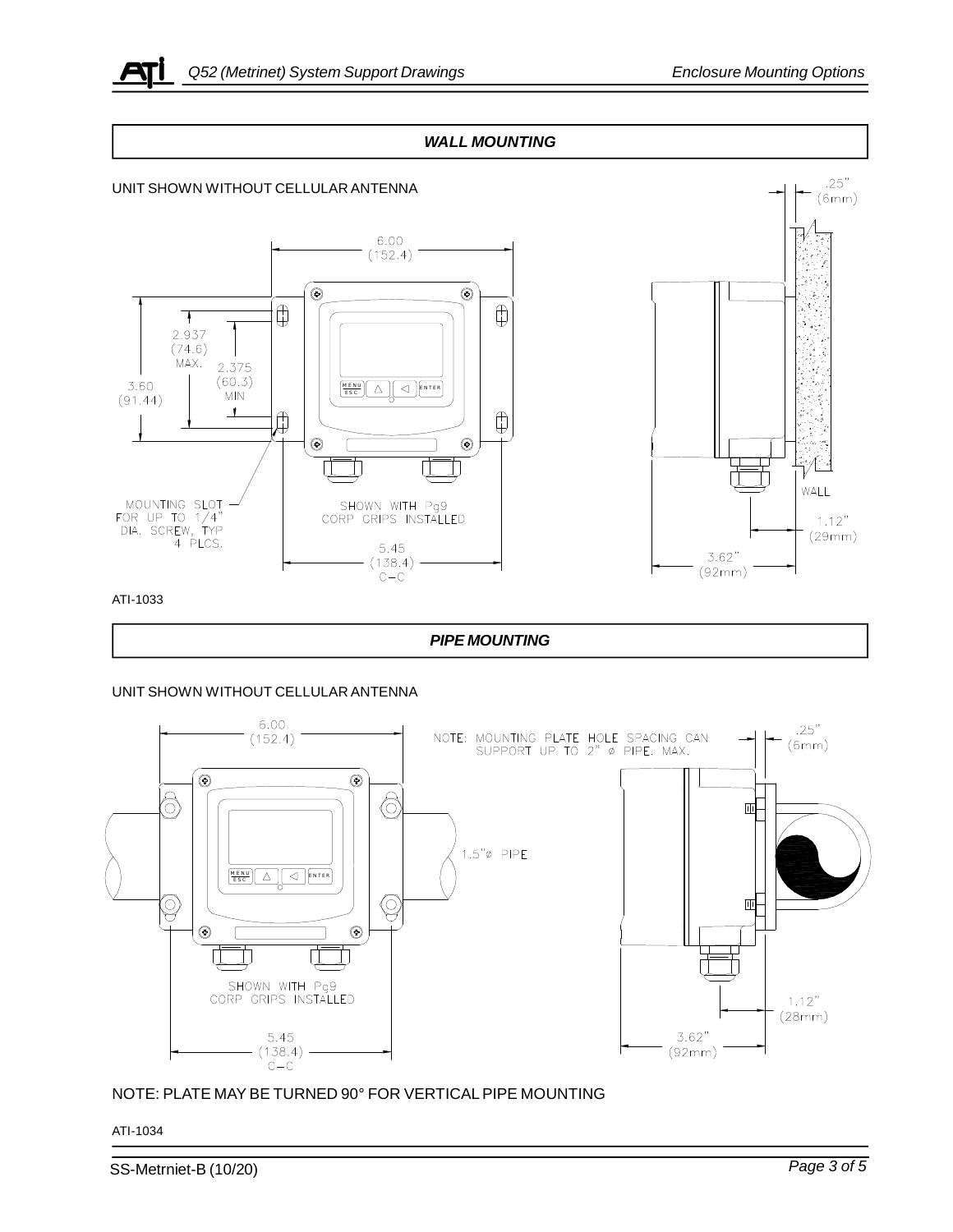## *WALL MOUNTING*



ATI-1033

## *PIPE MOUNTING*

UNIT SHOWN WITHOUT CELLULAR ANTENNA



NOTE: PLATE MAY BE TURNED 90° FOR VERTICAL PIPE MOUNTING

ATI-1034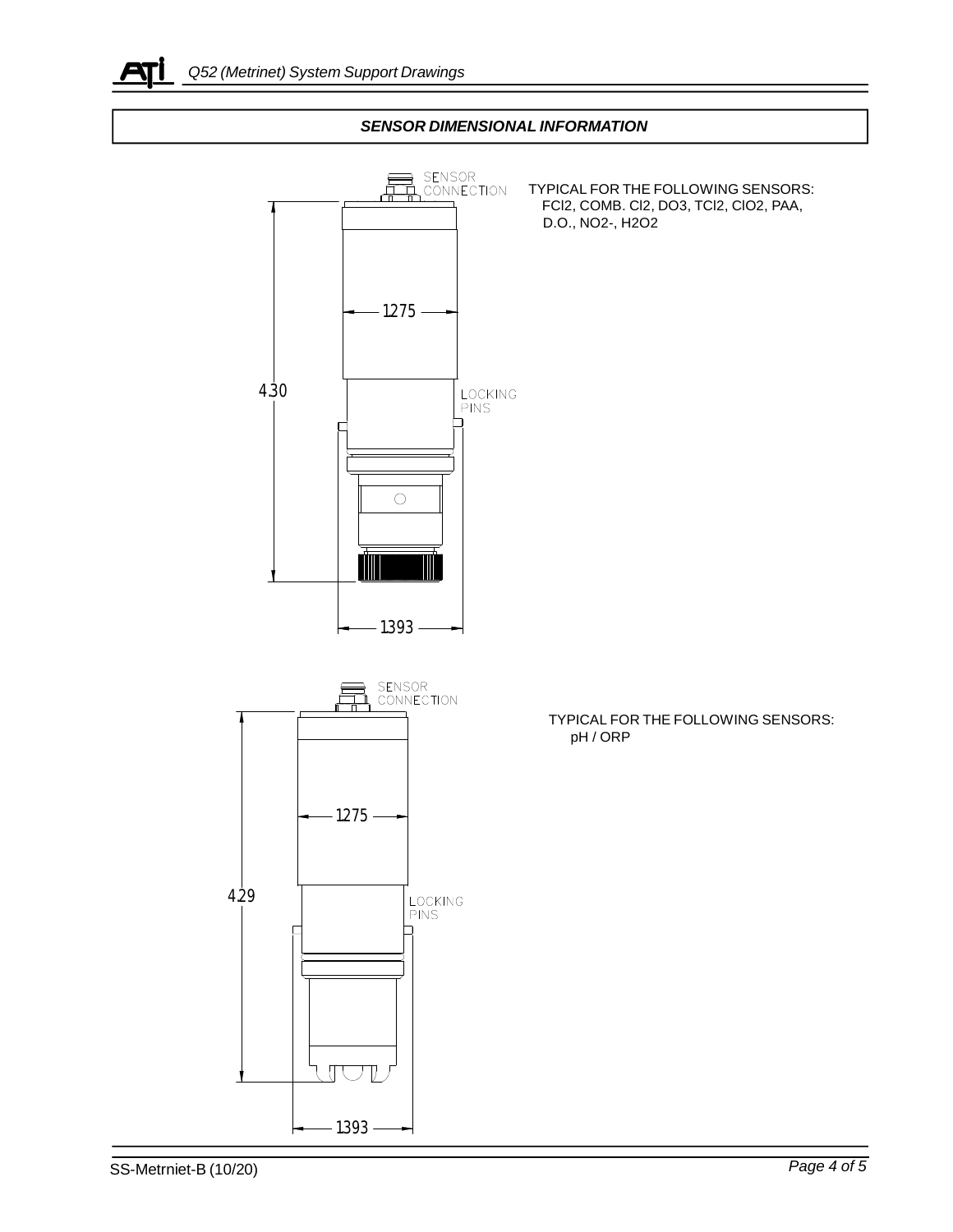